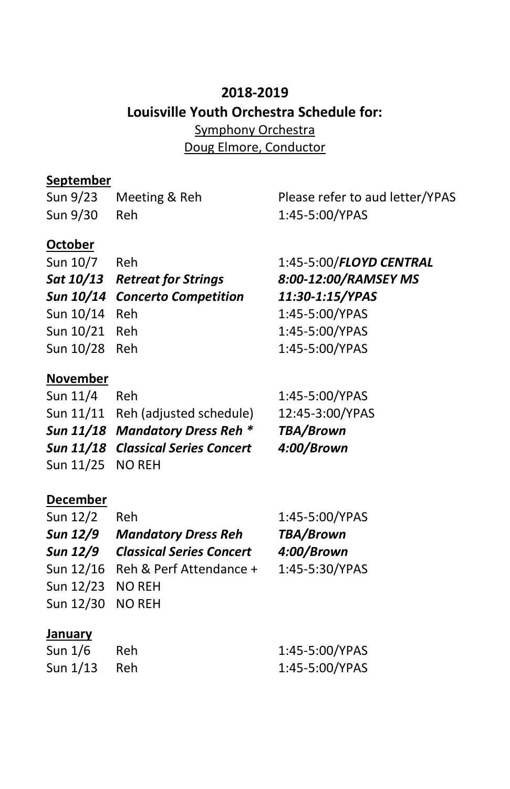# **2018-2019 Louisville Youth Orchestra Schedule for:** Symphony Orchestra Doug Elmore, Conductor

#### **September**

Sun 9/30 Reh 1:45-5:00/YPAS

### **October**

| Sun 10/7 Reh  |                                |
|---------------|--------------------------------|
|               | Sat 10/13 Retreat for Strings  |
|               | Sun 10/14 Concerto Competition |
| Sun 10/14 Reh |                                |
| Sun 10/21 Reh |                                |
| Sun 10/28 Reh |                                |
|               |                                |

## **November**

| Sun $11/4$       | Reh                                | 1:45-5:00/YPAS   |
|------------------|------------------------------------|------------------|
|                  | Sun 11/11 Reh (adjusted schedule)  | 12:45-3:00/YPAS  |
|                  | Sun 11/18 Mandatory Dress Reh *    | <b>TBA/Brown</b> |
|                  | Sun 11/18 Classical Series Concert | 4:00/Brown       |
| Sun 11/25 NO REH |                                    |                  |

#### **December**

| Sun 12/2         | Reh.                                     | 1:45-5:00/YPAS |
|------------------|------------------------------------------|----------------|
|                  | Sun 12/9 Mandatory Dress Reh             | TBA/Brown      |
|                  | <b>Sun 12/9 Classical Series Concert</b> | 4:00/Brown     |
|                  | Sun 12/16 Reh & Perf Attendance +        | 1:45-5:30/YPAS |
| Sun 12/23 NO REH |                                          |                |
| Sun 12/30 NO REH |                                          |                |

#### **January**

| Sun 1/6        | - Reh | 1:45-5:00/YPAS |
|----------------|-------|----------------|
| Sun $1/13$ Reh |       | 1:45-5:00/YPAS |

Sun 9/23 Meeting & Reh Please refer to aud letter/YPAS

1:45-5:00/FLOYD CENTRAL *Sat 10/13 Retreat for Strings 8:00-12:00/RAMSEY MS Sun 10/14 Concerto Competition 11:30-1:15/YPAS* 1:45-5:00/YPAS 1:45-5:00/YPAS 1:45-5:00/YPAS